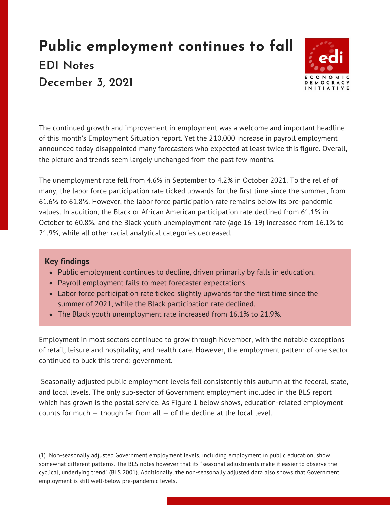## **Public employment continues to fall EDI Notes December 3, 2021**



The continued growth and improvement in employment was a welcome and important headline of this month's [Employment](https://www.bls.gov/news.release/empsit.toc.htm) Situation report[.](https://www.bls.gov/news.release/empsit.toc.htm) Yet the 210,000 increase in pa[yrol](https://www.bls.gov/news.release/empsit.toc.htm)l e[m](https://www.bls.gov/news.release/empsit.toc.htm)ployment announced [t](https://www.bls.gov/news.release/empsit.toc.htm)oday disappoint[ed](https://www.bls.gov/news.release/empsit.toc.htm) many forecasters who expected at least twice this figure. Overall, the picture and trends seem largely unchanged from the past few months.

The unemployment rate fell from 4.6% in September to 4.2% in October 2021. To the relief of many, the labor force participation rate ticked upwards for the first time since the summer, from 61.6% to 61.8%. However, the labor force participation rate remains below its pre-pandemic values. In addition, the Black or African American participation rate declined from 61.1% in October to 60.8%, and the Black youth unemployment rate (age 16-19) increased from 16.1% to 21.9%, while all other racial analytical categories decreased.

## **Key findings**

- Public employment continues to decline, driven primarily by falls in education.
- Payroll employment fails to meet forecaster expectations
- Labor force participation rate ticked slightly upwards for the first time since the summer of 2021, while the Black participation rate declined.
- The Black youth unemployment rate increased from 16.1% to 21.9%.

Employment in most sectors continued to grow through November, with the notable exceptions of retail, leisure and hospitality, and health care. However, the employment pattern of one sector continued to buck this trend: government.

Seasonally-adjusted public employment levels fell consistently this autumn at the federal, state, and local levels. The only sub-sector of Government employment included in the BLS report which has grown is the postal service. As Figure 1 below shows, education-related employment counts for much  $-$  though far from all  $-$  of the decline at the local level.

<sup>(1)</sup> Non-seasonally adjusted Government employment levels, including employment in public education, show somewhat different patterns. The BLS notes however that its "seasonal adjustments make it easier to observe the cyclical, underlying trend" (BLS 2001). Additionally, the non-seasonally adjusted data also shows that Government employment is still well-below pre-pandemic levels.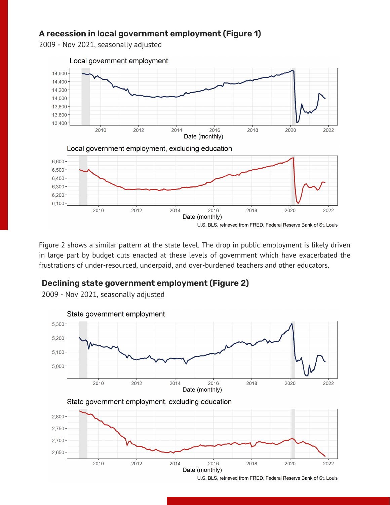## **A recession in local government employment (Figure 1)**

2009 - Nov 2021, seasonally adjusted



Figure 2 shows a similar pattern at the state level. The drop in public employment is likely driven in large part by budget cuts enacted at these levels of government which have exacerbated the frustrations of under-resourced, underpaid, and over-burdened teachers and other educators.

## **Declining state government employment (Figure 2)**

2009 - Nov 2021, seasonally adjusted